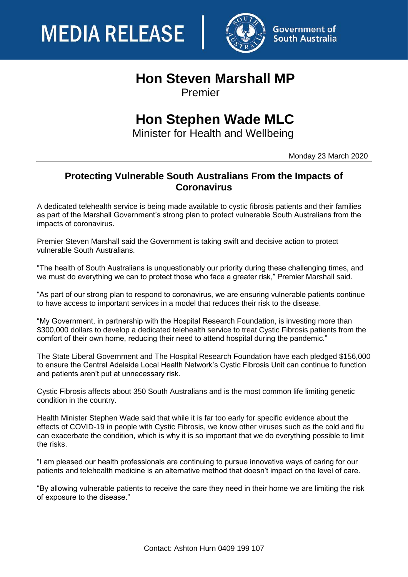



## **Hon Steven Marshall MP**

Premier

## **Hon Stephen Wade MLC**

Minister for Health and Wellbeing

Monday 23 March 2020

## **Protecting Vulnerable South Australians From the Impacts of Coronavirus**

A dedicated telehealth service is being made available to cystic fibrosis patients and their families as part of the Marshall Government's strong plan to protect vulnerable South Australians from the impacts of coronavirus.

Premier Steven Marshall said the Government is taking swift and decisive action to protect vulnerable South Australians.

"The health of South Australians is unquestionably our priority during these challenging times, and we must do everything we can to protect those who face a greater risk," Premier Marshall said.

"As part of our strong plan to respond to coronavirus, we are ensuring vulnerable patients continue to have access to important services in a model that reduces their risk to the disease.

"My Government, in partnership with the Hospital Research Foundation, is investing more than \$300,000 dollars to develop a dedicated telehealth service to treat Cystic Fibrosis patients from the comfort of their own home, reducing their need to attend hospital during the pandemic."

The State Liberal Government and The Hospital Research Foundation have each pledged \$156,000 to ensure the Central Adelaide Local Health Network's Cystic Fibrosis Unit can continue to function and patients aren't put at unnecessary risk.

Cystic Fibrosis affects about 350 South Australians and is the most common life limiting genetic condition in the country.

Health Minister Stephen Wade said that while it is far too early for specific evidence about the effects of COVID-19 in people with Cystic Fibrosis, we know other viruses such as the cold and flu can exacerbate the condition, which is why it is so important that we do everything possible to limit the risks.

"I am pleased our health professionals are continuing to pursue innovative ways of caring for our patients and telehealth medicine is an alternative method that doesn't impact on the level of care.

"By allowing vulnerable patients to receive the care they need in their home we are limiting the risk of exposure to the disease."